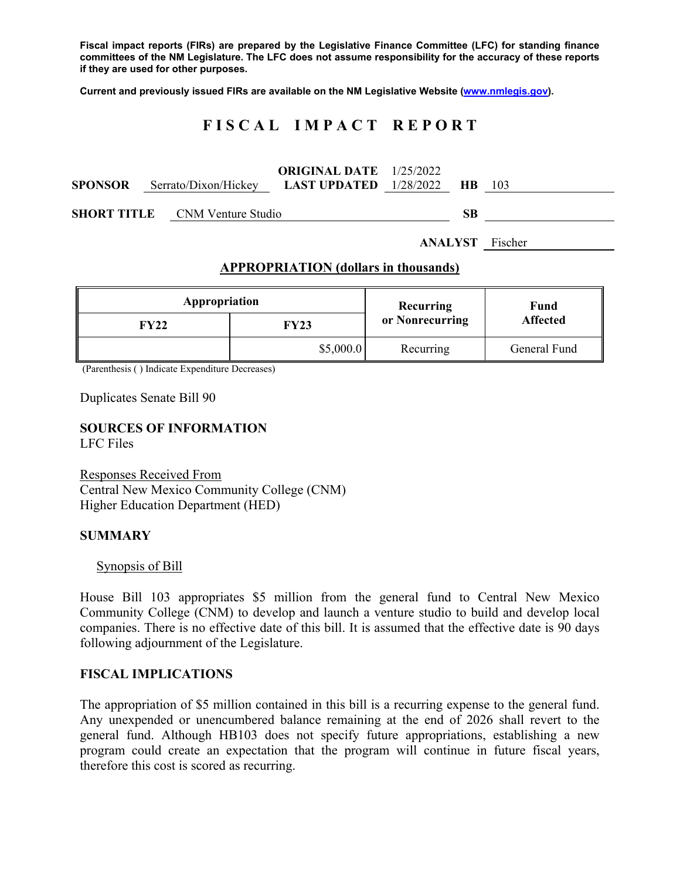**Fiscal impact reports (FIRs) are prepared by the Legislative Finance Committee (LFC) for standing finance committees of the NM Legislature. The LFC does not assume responsibility for the accuracy of these reports if they are used for other purposes.** 

**Current and previously issued FIRs are available on the NM Legislative Website (www.nmlegis.gov).** 

# **F I S C A L I M P A C T R E P O R T**

|                |  |                                       | <b>ORIGINAL DATE</b> $1/25/2022$ |  |      |     |
|----------------|--|---------------------------------------|----------------------------------|--|------|-----|
| <b>SPONSOR</b> |  | Serrato/Dixon/Hickey                  | <b>LAST UPDATED</b> $1/28/2022$  |  | - HR | 103 |
|                |  |                                       |                                  |  |      |     |
|                |  | <b>SHORT TITLE</b> CNM Venture Studio |                                  |  | SВ   |     |

**ANALYST** Fischer

### **APPROPRIATION (dollars in thousands)**

| Appropriation |           | Recurring       | Fund<br><b>Affected</b> |  |
|---------------|-----------|-----------------|-------------------------|--|
| FY22          | FY23      | or Nonrecurring |                         |  |
|               | \$5,000.0 | Recurring       | General Fund            |  |

(Parenthesis ( ) Indicate Expenditure Decreases)

Duplicates Senate Bill 90

# **SOURCES OF INFORMATION**

LFC Files

Responses Received From Central New Mexico Community College (CNM) Higher Education Department (HED)

#### **SUMMARY**

#### Synopsis of Bill

House Bill 103 appropriates \$5 million from the general fund to Central New Mexico Community College (CNM) to develop and launch a venture studio to build and develop local companies. There is no effective date of this bill. It is assumed that the effective date is 90 days following adjournment of the Legislature.

#### **FISCAL IMPLICATIONS**

The appropriation of \$5 million contained in this bill is a recurring expense to the general fund. Any unexpended or unencumbered balance remaining at the end of 2026 shall revert to the general fund. Although HB103 does not specify future appropriations, establishing a new program could create an expectation that the program will continue in future fiscal years, therefore this cost is scored as recurring.